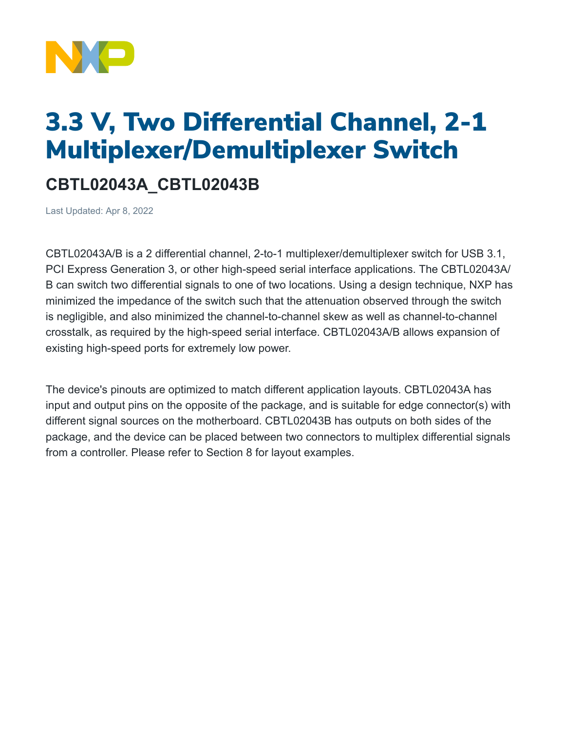

## 3.3 V, Two Differential Channel, 2-1 Multiplexer/Demultiplexer Switch

## **CBTL02043A\_CBTL02043B**

Last Updated: Apr 8, 2022

CBTL02043A/B is a 2 differential channel, 2-to-1 multiplexer/demultiplexer switch for USB 3.1, PCI Express Generation 3, or other high-speed serial interface applications. The CBTL02043A/ B can switch two differential signals to one of two locations. Using a design technique, NXP has minimized the impedance of the switch such that the attenuation observed through the switch is negligible, and also minimized the channel-to-channel skew as well as channel-to-channel crosstalk, as required by the high-speed serial interface. CBTL02043A/B allows expansion of existing high-speed ports for extremely low power.

The device's pinouts are optimized to match different application layouts. CBTL02043A has input and output pins on the opposite of the package, and is suitable for edge connector(s) with different signal sources on the motherboard. CBTL02043B has outputs on both sides of the package, and the device can be placed between two connectors to multiplex differential signals from a controller. Please refer to Section 8 for layout examples.